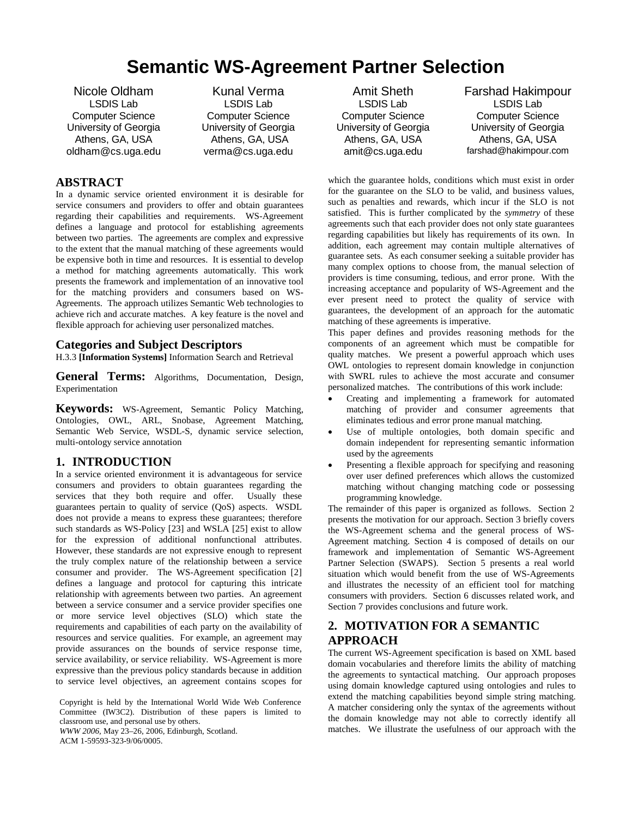# **Semantic WS-Agreement Partner Selection**

Nicole Oldham LSDIS Lab Computer Science University of Georgia Athens, GA, USA oldham@cs.uga.edu

Kunal Verma LSDIS Lab Computer Science University of Georgia Athens, GA, USA verma@cs.uga.edu

# **ABSTRACT**

In a dynamic service oriented environment it is desirable for service consumers and providers to offer and obtain guarantees regarding their capabilities and requirements. WS-Agreement defines a language and protocol for establishing agreements between two parties. The agreements are complex and expressive to the extent that the manual matching of these agreements would be expensive both in time and resources. It is essential to develop a method for matching agreements automatically. This work presents the framework and implementation of an innovative tool for the matching providers and consumers based on WS-Agreements. The approach utilizes Semantic Web technologies to achieve rich and accurate matches. A key feature is the novel and flexible approach for achieving user personalized matches.

# **Categories and Subject Descriptors**

H.3.3 **[Information Systems]** Information Search and Retrieval

**General Terms:** Algorithms, Documentation, Design, Experimentation

**Keywords:** WS-Agreement, Semantic Policy Matching, Ontologies, OWL, ARL, Snobase, Agreement Matching, Semantic Web Service, WSDL-S, dynamic service selection, multi-ontology service annotation

# **1. INTRODUCTION**

In a service oriented environment it is advantageous for service consumers and providers to obtain guarantees regarding the services that they both require and offer. Usually these guarantees pertain to quality of service (QoS) aspects. WSDL does not provide a means to express these guarantees; therefore such standards as WS-Policy [23] and WSLA [25] exist to allow for the expression of additional nonfunctional attributes. However, these standards are not expressive enough to represent the truly complex nature of the relationship between a service consumer and provider. The WS-Agreement specification [2] defines a language and protocol for capturing this intricate relationship with agreements between two parties. An agreement between a service consumer and a service provider specifies one or more service level objectives (SLO) which state the requirements and capabilities of each party on the availability of resources and service qualities. For example, an agreement may provide assurances on the bounds of service response time, service availability, or service reliability. WS-Agreement is more expressive than the previous policy standards because in addition to service level objectives, an agreement contains scopes for

Copyright is held by the International World Wide Web Conference Committee (IW3C2). Distribution of these papers is limited to classroom use, and personal use by others.

*WWW 2006,* May 23–26, 2006, Edinburgh, Scotland. ACM 1-59593-323-9/06/0005.

[Amit Sheth](http://lsdis.cs.uga.edu/%7Eamit) [LSDIS Lab](http://lsdis.cs.uga.edu/%7Eamit) Computer Science University of Georgia Athens, GA, USA amit@cs.uga.edu

Farshad Hakimpour LSDIS Lab Computer Science University of Georgia Athens, GA, USA farshad@hakimpour.com

which the guarantee holds, conditions which must exist in order for the guarantee on the SLO to be valid, and business values, such as penalties and rewards, which incur if the SLO is not satisfied. This is further complicated by the *symmetry* of these agreements such that each provider does not only state guarantees regarding capabilities but likely has requirements of its own. In addition, each agreement may contain multiple alternatives of guarantee sets. As each consumer seeking a suitable provider has many complex options to choose from, the manual selection of providers is time consuming, tedious, and error prone. With the increasing acceptance and popularity of WS-Agreement and the ever present need to protect the quality of service with guarantees, the development of an approach for the automatic matching of these agreements is imperative.

This paper defines and provides reasoning methods for the components of an agreement which must be compatible for quality matches. We present a powerful approach which uses OWL ontologies to represent domain knowledge in conjunction with SWRL rules to achieve the most accurate and consumer personalized matches. The contributions of this work include:

- Creating and implementing a framework for automated matching of provider and consumer agreements that eliminates tedious and error prone manual matching.
- Use of multiple ontologies, both domain specific and domain independent for representing semantic information used by the agreements
- Presenting a flexible approach for specifying and reasoning over user defined preferences which allows the customized matching without changing matching code or possessing programming knowledge.

The remainder of this paper is organized as follows. Section 2 presents the motivation for our approach. Section 3 briefly covers the WS-Agreement schema and the general process of WS-Agreement matching. Section 4 is composed of details on our framework and implementation of Semantic WS-Agreement Partner Selection (SWAPS). Section 5 presents a real world situation which would benefit from the use of WS-Agreements and illustrates the necessity of an efficient tool for matching consumers with providers. Section 6 discusses related work, and Section 7 provides conclusions and future work.

# **2. MOTIVATION FOR A SEMANTIC APPROACH**

The current WS-Agreement specification is based on XML based domain vocabularies and therefore limits the ability of matching the agreements to syntactical matching. Our approach proposes using domain knowledge captured using ontologies and rules to extend the matching capabilities beyond simple string matching. A matcher considering only the syntax of the agreements without the domain knowledge may not able to correctly identify all matches. We illustrate the usefulness of our approach with the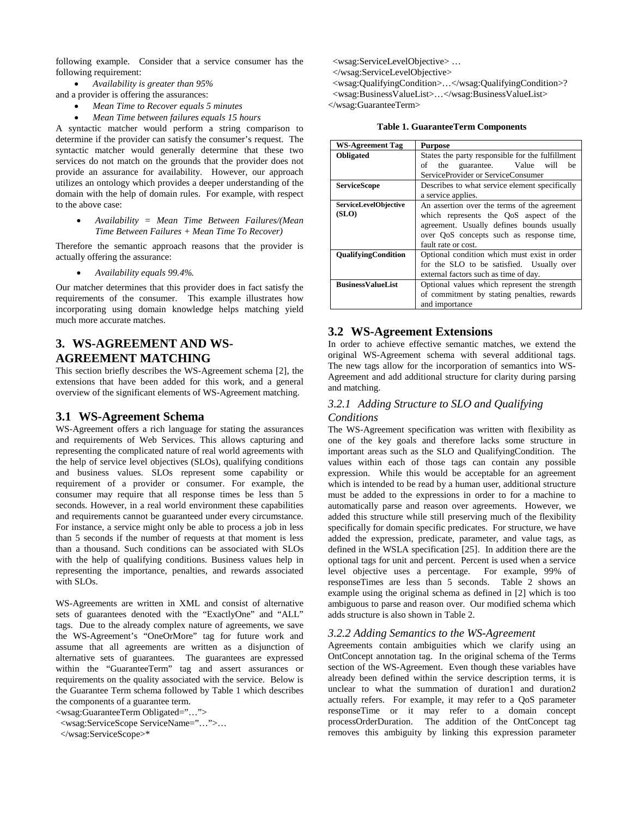following example. Consider that a service consumer has the following requirement:

• *Availability is greater than 95%*

- and a provider is offering the assurances:
	- *Mean Time to Recover equals 5 minutes*
	- *Mean Time between failures equals 15 hours*

A syntactic matcher would perform a string comparison to determine if the provider can satisfy the consumer's request. The syntactic matcher would generally determine that these two services do not match on the grounds that the provider does not provide an assurance for availability. However, our approach utilizes an ontology which provides a deeper understanding of the domain with the help of domain rules. For example, with respect to the above case:

• *Availability = Mean Time Between Failures/(Mean Time Between Failures + Mean Time To Recover)* 

Therefore the semantic approach reasons that the provider is actually offering the assurance:

• *Availability equals 99.4%.* 

Our matcher determines that this provider does in fact satisfy the requirements of the consumer. This example illustrates how incorporating using domain knowledge helps matching yield much more accurate matches.

# **3. WS-AGREEMENT AND WS-AGREEMENT MATCHING**

This section briefly describes the WS-Agreement schema [2], the extensions that have been added for this work, and a general overview of the significant elements of WS-Agreement matching.

# **3.1 WS-Agreement Schema**

WS-Agreement offers a rich language for stating the assurances and requirements of Web Services. This allows capturing and representing the complicated nature of real world agreements with the help of service level objectives (SLOs), qualifying conditions and business values. SLOs represent some capability or requirement of a provider or consumer. For example, the consumer may require that all response times be less than 5 seconds. However, in a real world environment these capabilities and requirements cannot be guaranteed under every circumstance. For instance, a service might only be able to process a job in less than 5 seconds if the number of requests at that moment is less than a thousand. Such conditions can be associated with SLOs with the help of qualifying conditions. Business values help in representing the importance, penalties, and rewards associated with SLOs.

WS-Agreements are written in XML and consist of alternative sets of guarantees denoted with the "ExactlyOne" and "ALL" tags. Due to the already complex nature of agreements, we save the WS-Agreement's "OneOrMore" tag for future work and assume that all agreements are written as a disjunction of alternative sets of guarantees. The guarantees are expressed within the "GuaranteeTerm" tag and assert assurances or requirements on the quality associated with the service. Below is the Guarantee Term schema followed by Table 1 which describes the components of a guarantee term.

<wsag:GuaranteeTerm Obligated="…">

<wsag:ServiceScope ServiceName="…">…

</wsag:ServiceScope>\*

<wsag:ServiceLevelObjective> …

</wsag:ServiceLevelObjective>

 <wsag:QualifyingCondition>…</wsag:QualifyingCondition>? <wsag:BusinessValueList>…</wsag:BusinessValueList> </wsag:GuaranteeTerm>

|  | <b>Table 1. GuaranteeTerm Components</b> |  |
|--|------------------------------------------|--|
|--|------------------------------------------|--|

| WS-Agreement Tag                      | Purpose                                                                                                                                                                                                |  |
|---------------------------------------|--------------------------------------------------------------------------------------------------------------------------------------------------------------------------------------------------------|--|
| <b>Obligated</b>                      | States the party responsible for the fulfillment<br>guarantee. Value will<br>the<br>οf<br>be                                                                                                           |  |
|                                       | ServiceProvider or ServiceConsumer                                                                                                                                                                     |  |
| <b>ServiceScope</b>                   | Describes to what service element specifically<br>a service applies.                                                                                                                                   |  |
| <b>ServiceLevelObjective</b><br>(SLO) | An assertion over the terms of the agreement<br>which represents the QoS aspect of the<br>agreement. Usually defines bounds usually<br>over QoS concepts such as response time,<br>fault rate or cost. |  |
| <b>QualifyingCondition</b>            | Optional condition which must exist in order<br>for the SLO to be satisfied. Usually over<br>external factors such as time of day.                                                                     |  |
| <b>BusinessValueList</b>              | Optional values which represent the strength<br>of commitment by stating penalties, rewards<br>and importance                                                                                          |  |

# **3.2 WS-Agreement Extensions**

In order to achieve effective semantic matches, we extend the original WS-Agreement schema with several additional tags. The new tags allow for the incorporation of semantics into WS-Agreement and add additional structure for clarity during parsing and matching.

# *3.2.1 Adding Structure to SLO and Qualifying Conditions*

The WS-Agreement specification was written with flexibility as one of the key goals and therefore lacks some structure in important areas such as the SLO and QualifyingCondition. The values within each of those tags can contain any possible expression. While this would be acceptable for an agreement which is intended to be read by a human user, additional structure must be added to the expressions in order to for a machine to automatically parse and reason over agreements. However, we added this structure while still preserving much of the flexibility specifically for domain specific predicates. For structure, we have added the expression, predicate, parameter, and value tags, as defined in the WSLA specification [25]. In addition there are the optional tags for unit and percent. Percent is used when a service level objective uses a percentage. For example, 99% of responseTimes are less than 5 seconds. Table 2 shows an example using the original schema as defined in [2] which is too ambiguous to parse and reason over. Our modified schema which adds structure is also shown in Table 2.

#### *3.2.2 Adding Semantics to the WS-Agreement*

Agreements contain ambiguities which we clarify using an OntConcept annotation tag. In the original schema of the Terms section of the WS-Agreement. Even though these variables have already been defined within the service description terms, it is unclear to what the summation of duration1 and duration2 actually refers. For example, it may refer to a QoS parameter responseTime or it may refer to a domain concept processOrderDuration. The addition of the OntConcept tag removes this ambiguity by linking this expression parameter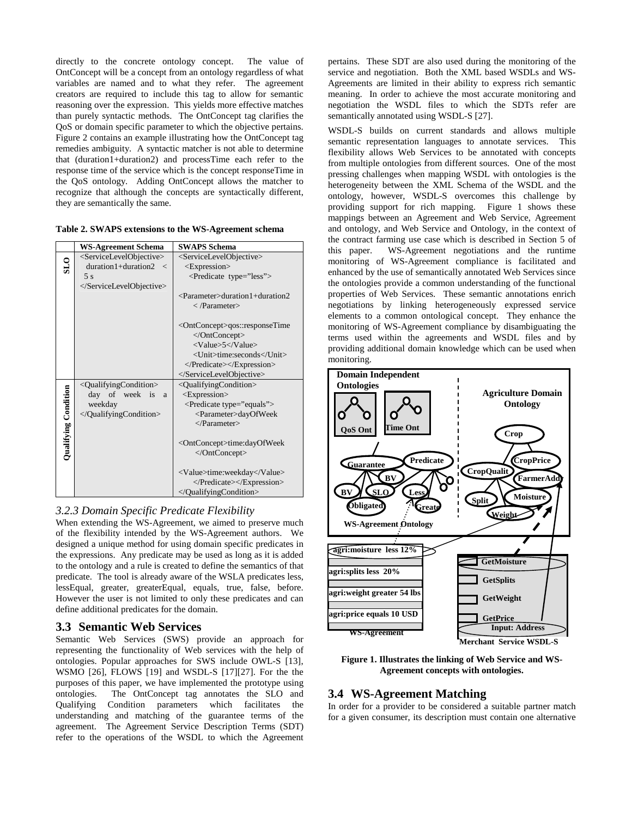directly to the concrete ontology concept. The value of OntConcept will be a concept from an ontology regardless of what variables are named and to what they refer. The agreement creators are required to include this tag to allow for semantic reasoning over the expression. This yields more effective matches than purely syntactic methods. The OntConcept tag clarifies the QoS or domain specific parameter to which the objective pertains. Figure 2 contains an example illustrating how the OntConcept tag remedies ambiguity. A syntactic matcher is not able to determine that (duration1+duration2) and processTime each refer to the response time of the service which is the concept responseTime in the QoS ontology. Adding OntConcept allows the matcher to recognize that although the concepts are syntactically different, they are semantically the same.

|                      | <b>WS-Agreement Schema</b>                      | <b>SWAPS Schema</b>                             |
|----------------------|-------------------------------------------------|-------------------------------------------------|
|                      | <servicelevelobjective></servicelevelobjective> | <servicelevelobjective></servicelevelobjective> |
| 018                  | $duration1+duration2 <$                         | <expression></expression>                       |
|                      | 5s                                              | <predicate type="less"></predicate>             |
|                      |                                                 |                                                 |
|                      |                                                 | <parameter>duration1+duration2</parameter>      |
|                      |                                                 | $\langle$ /Parameter>                           |
|                      |                                                 | <ontconcept>qos::responseTime</ontconcept>      |
|                      |                                                 | $\langle$ OntConcept $\rangle$                  |
|                      |                                                 | <value>5</value>                                |
|                      |                                                 | <unit>time:seconds</unit>                       |
|                      |                                                 |                                                 |
|                      |                                                 |                                                 |
|                      | <qualifyingcondition></qualifyingcondition>     | <qualifyingcondition></qualifyingcondition>     |
|                      | day of week is<br>a                             | <expression></expression>                       |
|                      | weekday                                         | <predicate type="equals"></predicate>           |
|                      |                                                 | <parameter>dayOfWeek</parameter>                |
|                      |                                                 | $<$ /Parameter>                                 |
| Qualifying Condition |                                                 | <ontconcept>time:dayOfWeek</ontconcept>         |
|                      |                                                 |                                                 |
|                      |                                                 | <value>time:weekday</value>                     |
|                      |                                                 |                                                 |
|                      |                                                 |                                                 |

# *3.2.3 Domain Specific Predicate Flexibility*

When extending the WS-Agreement, we aimed to preserve much of the flexibility intended by the WS-Agreement authors. We designed a unique method for using domain specific predicates in the expressions. Any predicate may be used as long as it is added to the ontology and a rule is created to define the semantics of that predicate. The tool is already aware of the WSLA predicates less, lessEqual, greater, greaterEqual, equals, true, false, before. However the user is not limited to only these predicates and can define additional predicates for the domain.

# **3.3 Semantic Web Services**

Semantic Web Services (SWS) provide an approach for representing the functionality of Web services with the help of ontologies. Popular approaches for SWS include OWL-S [13], WSMO [26], FLOWS [19] and WSDL-S [17][27]. For the the purposes of this paper, we have implemented the prototype using ontologies. The OntConcept tag annotates the SLO and Qualifying Condition parameters which facilitates the understanding and matching of the guarantee terms of the agreement. The Agreement Service Description Terms (SDT) refer to the operations of the WSDL to which the Agreement

pertains. These SDT are also used during the monitoring of the service and negotiation. Both the XML based WSDLs and WS-Agreements are limited in their ability to express rich semantic meaning. In order to achieve the most accurate monitoring and negotiation the WSDL files to which the SDTs refer are semantically annotated using WSDL-S [27].

WSDL-S builds on current standards and allows multiple semantic representation languages to annotate services. This flexibility allows Web Services to be annotated with concepts from multiple ontologies from different sources. One of the most pressing challenges when mapping WSDL with ontologies is the heterogeneity between the XML Schema of the WSDL and the ontology, however, WSDL-S overcomes this challenge by providing support for rich mapping. Figure 1 shows these mappings between an Agreement and Web Service, Agreement and ontology, and Web Service and Ontology, in the context of the contract farming use case which is described in Section 5 of this paper. WS-Agreement negotiations and the runtime monitoring of WS-Agreement compliance is facilitated and enhanced by the use of semantically annotated Web Services since the ontologies provide a common understanding of the functional properties of Web Services. These semantic annotations enrich negotiations by linking heterogeneously expressed service elements to a common ontological concept. They enhance the monitoring of WS-Agreement compliance by disambiguating the terms used within the agreements and WSDL files and by providing additional domain knowledge which can be used when monitoring.



**Figure 1. Illustrates the linking of Web Service and WS-Agreement concepts with ontologies.** 

# **3.4 WS-Agreement Matching**

In order for a provider to be considered a suitable partner match for a given consumer, its description must contain one alternative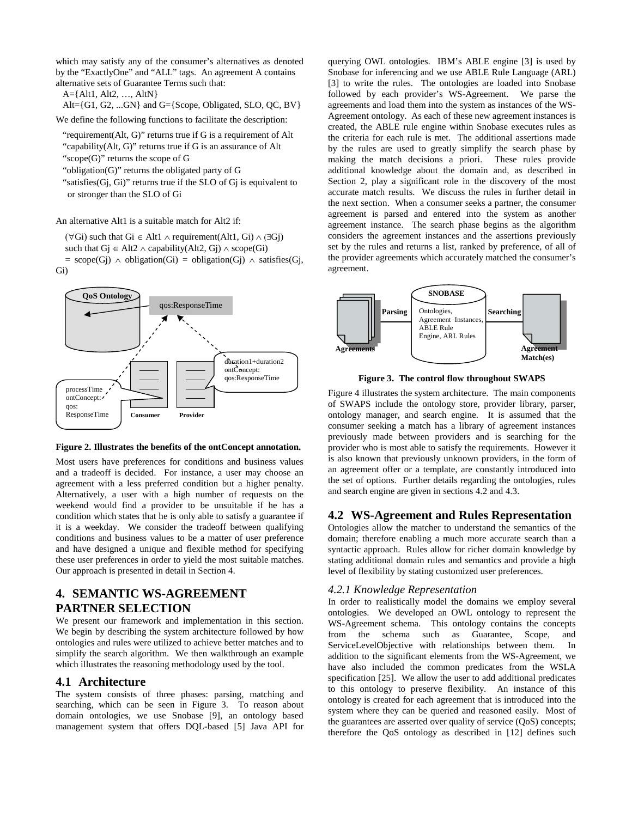which may satisfy any of the consumer's alternatives as denoted by the "ExactlyOne" and "ALL" tags. An agreement A contains alternative sets of Guarantee Terms such that:

A={Alt1, Alt2, …, AltN}

Alt={G1, G2, ...GN} and G={Scope, Obligated, SLO, QC, BV}

We define the following functions to facilitate the description:

 "requirement(Alt, G)" returns true if G is a requirement of Alt "capability(Alt, G)" returns true if G is an assurance of Alt "scope(G)" returns the scope of G

"obligation(G)" returns the obligated party of G

 "satisfies(Gj, Gi)" returns true if the SLO of Gj is equivalent to or stronger than the SLO of Gi

An alternative Alt1 is a suitable match for Alt2 if:

 $(\forall G$ i) such that Gi ∈ Alt1 ∧ requirement(Alt1, Gi) ∧ (∃Gj) such that  $Gj \in Alt2 \wedge capability(Alt2, Gj) \wedge scope(Gi)$  $=$  scope(Gj)  $\land$  obligation(Gi) = obligation(Gj)  $\land$  satisfies(Gj, Gi)



**Figure 2. Illustrates the benefits of the ontConcept annotation.** 

Most users have preferences for conditions and business values and a tradeoff is decided. For instance, a user may choose an agreement with a less preferred condition but a higher penalty. Alternatively, a user with a high number of requests on the weekend would find a provider to be unsuitable if he has a condition which states that he is only able to satisfy a guarantee if it is a weekday. We consider the tradeoff between qualifying conditions and business values to be a matter of user preference and have designed a unique and flexible method for specifying these user preferences in order to yield the most suitable matches. Our approach is presented in detail in Section 4.

# **4. SEMANTIC WS-AGREEMENT PARTNER SELECTION**

We present our framework and implementation in this section. We begin by describing the system architecture followed by how ontologies and rules were utilized to achieve better matches and to simplify the search algorithm. We then walkthrough an example which illustrates the reasoning methodology used by the tool.

# **4.1 Architecture**

The system consists of three phases: parsing, matching and searching, which can be seen in Figure 3. To reason about domain ontologies, we use Snobase [9], an ontology based management system that offers DQL-based [5] Java API for

querying OWL ontologies. IBM's ABLE engine [3] is used by Snobase for inferencing and we use ABLE Rule Language (ARL) [3] to write the rules. The ontologies are loaded into Snobase followed by each provider's WS-Agreement. We parse the agreements and load them into the system as instances of the WS-Agreement ontology. As each of these new agreement instances is created, the ABLE rule engine within Snobase executes rules as the criteria for each rule is met. The additional assertions made by the rules are used to greatly simplify the search phase by making the match decisions a priori. These rules provide additional knowledge about the domain and, as described in Section 2, play a significant role in the discovery of the most accurate match results. We discuss the rules in further detail in the next section. When a consumer seeks a partner, the consumer agreement is parsed and entered into the system as another agreement instance. The search phase begins as the algorithm considers the agreement instances and the assertions previously set by the rules and returns a list, ranked by preference, of all of the provider agreements which accurately matched the consumer's agreement.



**Figure 3. The control flow throughout SWAPS** 

Figure 4 illustrates the system architecture. The main components of SWAPS include the ontology store, provider library, parser, ontology manager, and search engine. It is assumed that the consumer seeking a match has a library of agreement instances previously made between providers and is searching for the provider who is most able to satisfy the requirements. However it is also known that previously unknown providers, in the form of an agreement offer or a template, are constantly introduced into the set of options. Further details regarding the ontologies, rules and search engine are given in sections 4.2 and 4.3.

# **4.2 WS-Agreement and Rules Representation**

Ontologies allow the matcher to understand the semantics of the domain; therefore enabling a much more accurate search than a syntactic approach. Rules allow for richer domain knowledge by stating additional domain rules and semantics and provide a high level of flexibility by stating customized user preferences.

# *4.2.1 Knowledge Representation*

In order to realistically model the domains we employ several ontologies. We developed an OWL ontology to represent the WS-Agreement schema. This ontology contains the concepts from the schema such as Guarantee, Scope, and ServiceLevelObjective with relationships between them. In addition to the significant elements from the WS-Agreement, we have also included the common predicates from the WSLA specification [25]. We allow the user to add additional predicates to this ontology to preserve flexibility. An instance of this ontology is created for each agreement that is introduced into the system where they can be queried and reasoned easily. Most of the guarantees are asserted over quality of service (QoS) concepts; therefore the QoS ontology as described in [12] defines such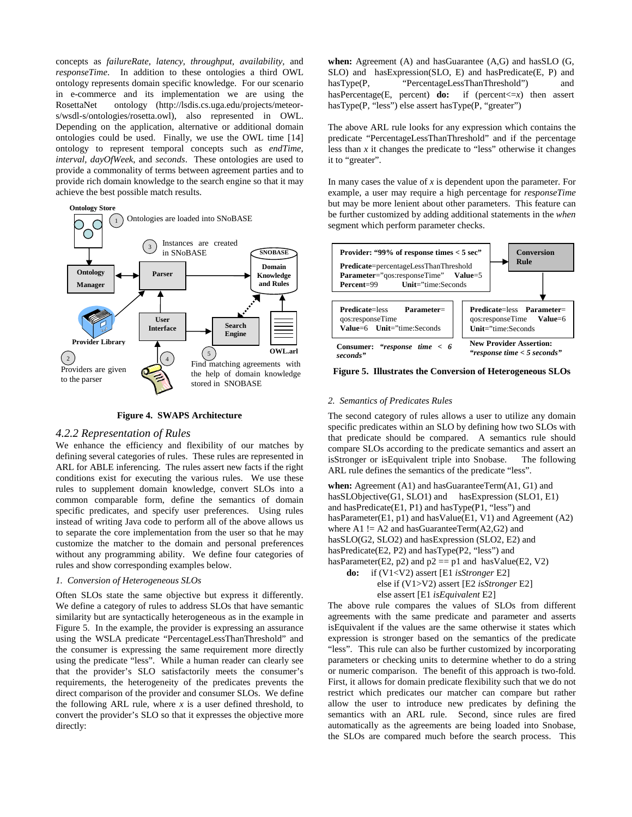concepts as *failureRate, latency, throughput, availability,* and *responseTime*. In addition to these ontologies a third OWL ontology represents domain specific knowledge. For our scenario in e-commerce and its implementation we are using the RosettaNet ontology (http://lsdis.cs.uga.edu/projects/meteors/wsdl-s/ontologies/rosetta.owl), also represented in OWL. Depending on the application, alternative or additional domain ontologies could be used. Finally, we use the OWL time [14] ontology to represent temporal concepts such as *endTime, interval, dayOfWeek*, and *seconds*. These ontologies are used to provide a commonality of terms between agreement parties and to provide rich domain knowledge to the search engine so that it may achieve the best possible match results.



**Figure 4. SWAPS Architecture** 

#### *4.2.2 Representation of Rules*

We enhance the efficiency and flexibility of our matches by defining several categories of rules. These rules are represented in ARL for ABLE inferencing. The rules assert new facts if the right conditions exist for executing the various rules. We use these rules to supplement domain knowledge, convert SLOs into a common comparable form, define the semantics of domain specific predicates, and specify user preferences. Using rules instead of writing Java code to perform all of the above allows us to separate the core implementation from the user so that he may customize the matcher to the domain and personal preferences without any programming ability. We define four categories of rules and show corresponding examples below.

#### *1. Conversion of Heterogeneous SLOs*

Often SLOs state the same objective but express it differently. We define a category of rules to address SLOs that have semantic similarity but are syntactically heterogeneous as in the example in Figure 5. In the example, the provider is expressing an assurance using the WSLA predicate "PercentageLessThanThreshold" and the consumer is expressing the same requirement more directly using the predicate "less". While a human reader can clearly see that the provider's SLO satisfactorily meets the consumer's requirements, the heterogeneity of the predicates prevents the direct comparison of the provider and consumer SLOs. We define the following ARL rule, where  $x$  is a user defined threshold, to convert the provider's SLO so that it expresses the objective more directly:

**when:** Agreement (A) and hasGuarantee (A,G) and hasSLO (G, SLO) and hasExpression(SLO, E) and hasPredicate(E, P) and hasType(P, "PercentageLessThanThreshold") and hasPercentage(E, percent) **do:** if (percent $\leq x$ ) then assert hasType(P, "less") else assert hasType(P, "greater")

The above ARL rule looks for any expression which contains the predicate "PercentageLessThanThreshold" and if the percentage less than *x* it changes the predicate to "less" otherwise it changes it to "greater".

In many cases the value of  $x$  is dependent upon the parameter. For example, a user may require a high percentage for *responseTime*  but may be more lenient about other parameters. This feature can be further customized by adding additional statements in the *when*  segment which perform parameter checks.



**Figure 5. Illustrates the Conversion of Heterogeneous SLOs** 

#### *2. Semantics of Predicates Rules*

The second category of rules allows a user to utilize any domain specific predicates within an SLO by defining how two SLOs with that predicate should be compared. A semantics rule should compare SLOs according to the predicate semantics and assert an isStronger or isEquivalent triple into Snobase. The following ARL rule defines the semantics of the predicate "less".

**when:** Agreement (A1) and hasGuaranteeTerm(A1, G1) and hasSLObjective(G1, SLO1) and hasExpression (SLO1, E1) and hasPredicate(E1, P1) and hasType(P1, "less") and hasParameter(E1, p1) and hasValue(E1, V1) and Agreement (A2) where  $A1$  !=  $A2$  and has Guarantee Term $(A2,G2)$  and hasSLO(G2, SLO2) and hasExpression (SLO2, E2) and hasPredicate(E2, P2) and hasType(P2, "less") and hasParameter(E2, p2) and  $p2 == p1$  and hasValue(E2, V2) **do:** if (V1<V2) assert [E1 *isStronger* E2] else if (V1>V2) assert [E2 *isStronger* E2]

else assert [E1 *isEquivalent* E2]

The above rule compares the values of SLOs from different agreements with the same predicate and parameter and asserts isEquivalent if the values are the same otherwise it states which expression is stronger based on the semantics of the predicate "less". This rule can also be further customized by incorporating parameters or checking units to determine whether to do a string or numeric comparison. The benefit of this approach is two-fold. First, it allows for domain predicate flexibility such that we do not restrict which predicates our matcher can compare but rather allow the user to introduce new predicates by defining the semantics with an ARL rule. Second, since rules are fired automatically as the agreements are being loaded into Snobase, the SLOs are compared much before the search process. This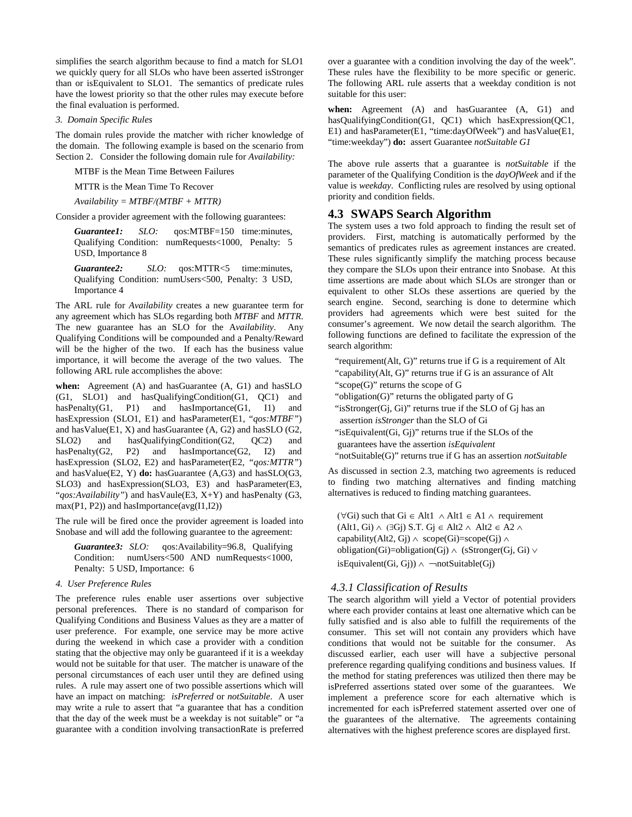simplifies the search algorithm because to find a match for SLO1 we quickly query for all SLOs who have been asserted isStronger than or isEquivalent to SLO1. The semantics of predicate rules have the lowest priority so that the other rules may execute before the final evaluation is performed.

#### *3. Domain Specific Rules*

The domain rules provide the matcher with richer knowledge of the domain. The following example is based on the scenario from Section 2. Consider the following domain rule for *Availability:* 

MTBF is the Mean Time Between Failures

MTTR is the Mean Time To Recover

*Availability = MTBF/(MTBF + MTTR)* 

Consider a provider agreement with the following guarantees:

*Guarantee1: SLO:* qos:MTBF=150 time:minutes, Qualifying Condition: numRequests<1000, Penalty: 5 USD, Importance 8

*Guarantee2: SLO:* qos:MTTR<5 time:minutes, Qualifying Condition: numUsers<500, Penalty: 3 USD, Importance 4

The ARL rule for *Availability* creates a new guarantee term for any agreement which has SLOs regarding both *MTBF* and *MTTR*. The new guarantee has an SLO for the A*vailability*. Any Qualifying Conditions will be compounded and a Penalty/Reward will be the higher of the two. If each has the business value importance, it will become the average of the two values. The following ARL rule accomplishes the above:

**when:** Agreement (A) and hasGuarantee (A, G1) and hasSLO (G1, SLO1) and hasQualifyingCondition(G1, QC1) and hasPenalty(G1, P1) and hasImportance(G1, I1) and hasExpression (SLO1, E1) and hasParameter(E1, "*qos:MTBF"*) and hasValue(E1, X) and hasGuarantee (A, G2) and hasSLO (G2, SLO2) and hasQualifyingCondition(G2, QC2) and hasPenalty(G2, P2) and hasImportance(G2, I2) and hasExpression (SLO2, E2) and hasParameter(E2, *"qos:MTTR"*) and hasValue(E2, Y) **do:** hasGuarantee (A,G3) and hasSLO(G3, SLO3) and hasExpression(SLO3, E3) and hasParameter(E3, "*qos:Availability"*) and hasVaule(E3, X+Y) and hasPenalty (G3, max(P1, P2)) and hasImportance(avg(I1,I2))

The rule will be fired once the provider agreement is loaded into Snobase and will add the following guarantee to the agreement:

*Guarantee3: SLO:* qos:Availability=96.8, Qualifying Condition: numUsers<500 AND numRequests<1000, Penalty: 5 USD, Importance: 6

#### *4. User Preference Rules*

The preference rules enable user assertions over subjective personal preferences. There is no standard of comparison for Qualifying Conditions and Business Values as they are a matter of user preference. For example, one service may be more active during the weekend in which case a provider with a condition stating that the objective may only be guaranteed if it is a weekday would not be suitable for that user. The matcher is unaware of the personal circumstances of each user until they are defined using rules. A rule may assert one of two possible assertions which will have an impact on matching: *isPreferred* or *notSuitable*. A user may write a rule to assert that "a guarantee that has a condition that the day of the week must be a weekday is not suitable" or "a guarantee with a condition involving transactionRate is preferred over a guarantee with a condition involving the day of the week". These rules have the flexibility to be more specific or generic. The following ARL rule asserts that a weekday condition is not suitable for this user:

when: Agreement (A) and hasGuarantee (A, G1) and hasQualifyingCondition(G1, QC1) which hasExpression(QC1, E1) and hasParameter(E1, "time:dayOfWeek") and hasValue(E1, "time:weekday") **do:** assert Guarantee *notSuitable G1* 

The above rule asserts that a guarantee is *notSuitable* if the parameter of the Qualifying Condition is the *dayOfWeek* and if the value is *weekday*. Conflicting rules are resolved by using optional priority and condition fields.

### **4.3 SWAPS Search Algorithm**

The system uses a two fold approach to finding the result set of providers. First, matching is automatically performed by the semantics of predicates rules as agreement instances are created. These rules significantly simplify the matching process because they compare the SLOs upon their entrance into Snobase. At this time assertions are made about which SLOs are stronger than or equivalent to other SLOs these assertions are queried by the search engine. Second, searching is done to determine which providers had agreements which were best suited for the consumer's agreement. We now detail the search algorithm. The following functions are defined to facilitate the expression of the search algorithm:

 "requirement(Alt, G)" returns true if G is a requirement of Alt "capability(Alt, G)" returns true if G is an assurance of Alt "scope(G)" returns the scope of G "obligation(G)" returns the obligated party of G

 "isStronger(Gj, Gi)" returns true if the SLO of Gj has an assertion *isStronger* than the SLO of Gi

 "isEquivalent(Gi, Gj)" returns true if the SLOs of the guarantees have the assertion *isEquivalent* 

"notSuitable(G)" returns true if G has an assertion *notSuitable*

As discussed in section 2.3, matching two agreements is reduced to finding two matching alternatives and finding matching alternatives is reduced to finding matching guarantees.

( $\forall$ Gi) such that Gi ∈ Alt1 ∧ Alt1 ∈ A1 ∧ requirement (Alt1, Gi) ∧ (∃Gj) S.T. Gj ∈ Alt2 ∧ Alt2 ∈ A2 ∧ capability(Alt2, Gj)  $\land$  scope(Gi)=scope(Gj)  $\land$ obligation(Gi)=obligation(Gj)  $∧$  (sStronger(Gj, Gi)  $∨$ isEquivalent(Gi, Gj))  $∧$   $\neg$ notSuitable(Gj)

#### *4.3.1 Classification of Results*

The search algorithm will yield a Vector of potential providers where each provider contains at least one alternative which can be fully satisfied and is also able to fulfill the requirements of the consumer. This set will not contain any providers which have conditions that would not be suitable for the consumer. As discussed earlier, each user will have a subjective personal preference regarding qualifying conditions and business values. If the method for stating preferences was utilized then there may be isPreferred assertions stated over some of the guarantees. We implement a preference score for each alternative which is incremented for each isPreferred statement asserted over one of the guarantees of the alternative. The agreements containing alternatives with the highest preference scores are displayed first.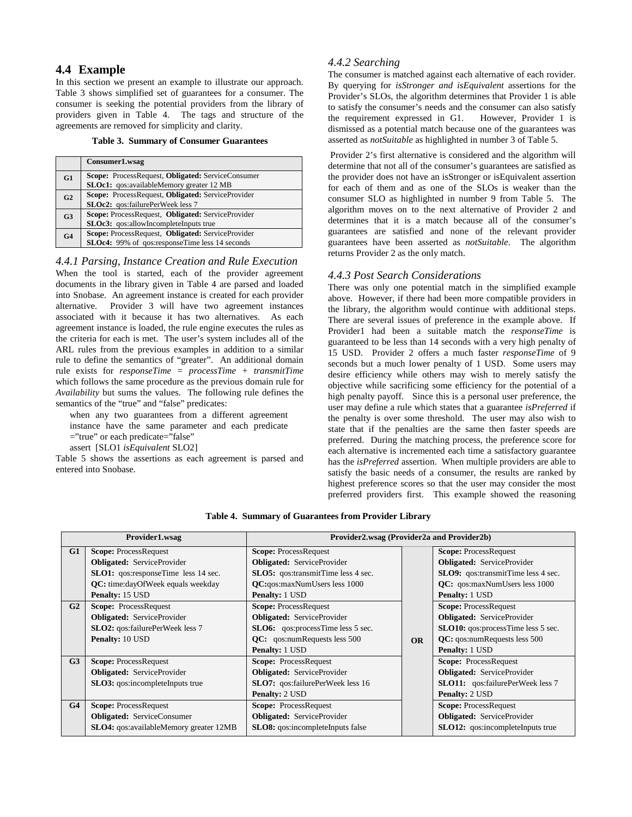# **4.4 Example**

In this section we present an example to illustrate our approach. Table 3 shows simplified set of guarantees for a consumer. The consumer is seeking the potential providers from the library of providers given in Table 4. The tags and structure of the agreements are removed for simplicity and clarity.

#### **Table 3. Summary of Consumer Guarantees**

|                | Consumer1.wsag                                                                                       |
|----------------|------------------------------------------------------------------------------------------------------|
| G1             | Scope: ProcessRequest, Obligated: ServiceConsumer<br><b>SLOc1:</b> qos:availableMemory greater 12 MB |
|                | Scope: ProcessRequest, Obligated: ServiceProvider                                                    |
| G <sub>2</sub> | SLOc2: qos:failurePerWeek less 7                                                                     |
| G <sub>3</sub> | Scope: ProcessRequest, Obligated: ServiceProvider                                                    |
|                | <b>SLOc3:</b> qos:allowIncompleteInputs true                                                         |
| G <sub>4</sub> | Scope: ProcessRequest, Obligated: ServiceProvider                                                    |
|                | <b>SLOc4:</b> 99% of gos: response Time less 14 seconds                                              |

#### *4.4.1 Parsing, Instance Creation and Rule Execution*  When the tool is started, each of the provider agreement documents in the library given in Table 4 are parsed and loaded into Snobase. An agreement instance is created for each provider alternative. Provider 3 will have two agreement instances associated with it because it has two alternatives. As each agreement instance is loaded, the rule engine executes the rules as the criteria for each is met. The user's system includes all of the ARL rules from the previous examples in addition to a similar rule to define the semantics of "greater". An additional domain rule exists for *responseTime = processTime + transmitTime*  which follows the same procedure as the previous domain rule for

semantics of the "true" and "false" predicates: when any two guarantees from a different agreement instance have the same parameter and each predicate ="true" or each predicate="false"

*Availability* but sums the values. The following rule defines the

assert [SLO1 *isEquivalent* SLO2]

Table 5 shows the assertions as each agreement is parsed and entered into Snobase.

# *4.4.2 Searching*

The consumer is matched against each alternative of each rovider. By querying for *isStronger and isEquivalent* assertions for the Provider's SLOs, the algorithm determines that Provider 1 is able to satisfy the consumer's needs and the consumer can also satisfy the requirement expressed in G1. However, Provider 1 is dismissed as a potential match because one of the guarantees was asserted as *notSuitable* as highlighted in number 3 of Table 5.

 Provider 2's first alternative is considered and the algorithm will determine that not all of the consumer's guarantees are satisfied as the provider does not have an isStronger or isEquivalent assertion for each of them and as one of the SLOs is weaker than the consumer SLO as highlighted in number 9 from Table 5. The algorithm moves on to the next alternative of Provider 2 and determines that it is a match because all of the consumer's guarantees are satisfied and none of the relevant provider guarantees have been asserted as *notSuitable*. The algorithm returns Provider 2 as the only match.

### *4.4.3 Post Search Considerations*

There was only one potential match in the simplified example above. However, if there had been more compatible providers in the library, the algorithm would continue with additional steps. There are several issues of preference in the example above. If Provider1 had been a suitable match the *responseTime* is guaranteed to be less than 14 seconds with a very high penalty of 15 USD. Provider 2 offers a much faster *responseTime* of 9 seconds but a much lower penalty of 1 USD. Some users may desire efficiency while others may wish to merely satisfy the objective while sacrificing some efficiency for the potential of a high penalty payoff. Since this is a personal user preference, the user may define a rule which states that a guarantee *isPreferred* if the penalty is over some threshold. The user may also wish to state that if the penalties are the same then faster speeds are preferred. During the matching process, the preference score for each alternative is incremented each time a satisfactory guarantee has the *isPreferred* assertion. When multiple providers are able to satisfy the basic needs of a consumer, the results are ranked by highest preference scores so that the user may consider the most preferred providers first. This example showed the reasoning

| Provider1.wsag |                                            | Provider2.wsag (Provider2a and Provider2b) |           |                                           |
|----------------|--------------------------------------------|--------------------------------------------|-----------|-------------------------------------------|
| G1             | <b>Scope: ProcessRequest</b>               | <b>Scope: ProcessRequest</b>               |           | <b>Scope: ProcessRequest</b>              |
|                | <b>Obligated:</b> ServiceProvider          | <b>Obligated:</b> ServiceProvider          |           | <b>Obligated:</b> ServiceProvider         |
|                | <b>SLO1:</b> qos:responseTime less 14 sec. | <b>SLO5:</b> qos:transmitTime less 4 sec.  |           | <b>SLO9:</b> qos:transmitTime less 4 sec. |
|                | <b>QC:</b> time:dayOfWeek equals weekday   | QC:qos:maxNumUsers less 1000               |           | QC: qos:maxNumUsers less 1000             |
|                | Penalty: 15 USD                            | <b>Penalty:</b> 1 USD                      |           | <b>Penalty:</b> 1 USD                     |
| G2             | <b>Scope: ProcessRequest</b>               | <b>Scope: ProcessRequest</b>               |           | <b>Scope: ProcessRequest</b>              |
|                | <b>Obligated:</b> ServiceProvider          | <b>Obligated:</b> ServiceProvider          |           | <b>Obligated:</b> ServiceProvider         |
|                | SLO2: qos:failurePerWeek less 7            | <b>SLO6:</b> qos:processTime less 5 sec.   |           | SLO10: qos:processTime less 5 sec.        |
|                | <b>Penalty: 10 USD</b>                     | <b>QC:</b> qos:numRequests less 500        | <b>OR</b> | <b>QC:</b> qos:numRequests less 500       |
|                |                                            | <b>Penalty: 1 USD</b>                      |           | <b>Penalty:</b> 1 USD                     |
| G <sub>3</sub> | <b>Scope: ProcessRequest</b>               | Scope: ProcessRequest                      |           | <b>Scope: ProcessRequest</b>              |
|                | <b>Obligated:</b> ServiceProvider          | <b>Obligated:</b> ServiceProvider          |           | <b>Obligated:</b> ServiceProvider         |
|                | <b>SLO3</b> : qos:incompleteInputs true    | <b>SLO7:</b> qos:failurePerWeek less 16    |           | <b>SLO11:</b> qos:failurePerWeek less 7   |
|                |                                            | <b>Penalty: 2 USD</b>                      |           | <b>Penalty: 2 USD</b>                     |
| G <sub>4</sub> | <b>Scope: ProcessRequest</b>               | Scope: ProcessRequest                      |           | <b>Scope: ProcessRequest</b>              |
|                | <b>Obligated:</b> ServiceConsumer          | <b>Obligated:</b> ServiceProvider          |           | <b>Obligated:</b> ServiceProvider         |
|                | SLO4: qos:availableMemory greater 12MB     | <b>SLO8</b> : qos:incompleteInputs false   |           | <b>SLO12:</b> qos:incompleteInputs true   |

**Table 4. Summary of Guarantees from Provider Library**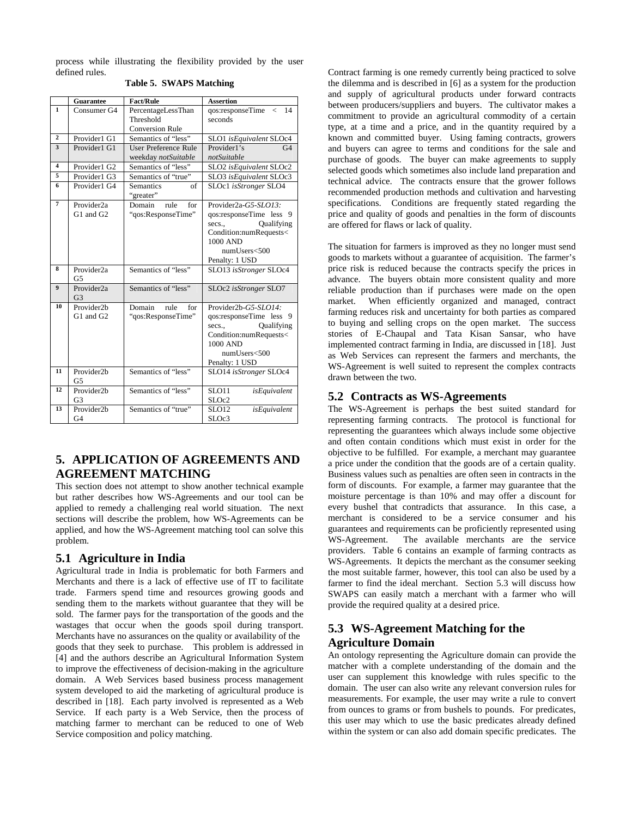process while illustrating the flexibility provided by the user defined rules.

|                         | <b>Guarantee</b>        | <b>Fact/Rule</b>            | <b>Assertion</b>              |
|-------------------------|-------------------------|-----------------------------|-------------------------------|
| $\mathbf{1}$            | Consumer G4             | PercentageLessThan          | qos:responseTime<br>$<$ 14    |
|                         |                         | Threshold                   | seconds                       |
|                         |                         | <b>Conversion Rule</b>      |                               |
| $\overline{2}$          | Provider1 G1            | Semantics of "less"         | SLO1 isEquivalent SLOc4       |
| 3                       | Provider1 G1            | <b>User Preference Rule</b> | Provider1's<br>G <sub>4</sub> |
|                         |                         | weekday notSuitable         | notSuitable                   |
| $\overline{\mathbf{4}}$ | Provider1 G2            | Semantics of "less"         | SLO2 isEquivalent SLOc2       |
| 5                       | Provider1 G3            | Semantics of "true"         | SLO3 isEquivalent SLOc3       |
| 6                       | Provider1 G4            | Semantics<br>of             | SLOc1 isStronger SLO4         |
|                         |                         | "greater"                   |                               |
| $\overline{7}$          | Provider2a              | Domain<br>rule<br>for       | Provider2a-G5-SLO13:          |
|                         | G1 and G2               | "qos:ResponseTime"          | qos:responseTime less 9       |
|                         |                         |                             | Qualifying<br>secs.,          |
|                         |                         |                             | Condition:numRequests<        |
|                         |                         |                             | 1000 AND                      |
|                         |                         |                             | numUsers<500                  |
|                         |                         |                             | Penalty: 1 USD                |
| 8                       | Provider <sub>2a</sub>  | Semantics of "less"         | SLO13 isStronger SLOc4        |
|                         | G <sub>5</sub>          |                             |                               |
| $\boldsymbol{9}$        | Provider <sub>2a</sub>  | Semantics of "less"         | SLOc2 isStronger SLO7         |
|                         | G <sub>3</sub>          |                             |                               |
| 10                      |                         |                             |                               |
|                         | Provider2b              | Domain<br>rule<br>for       | Provider2b-G5-SLO14:          |
|                         | G1 and G2               | "qos:ResponseTime"          | qos:responseTime less 9       |
|                         |                         |                             | Qualifying<br>secs.,          |
|                         |                         |                             | Condition:numRequests<        |
|                         |                         |                             | 1000 AND                      |
|                         |                         |                             | numUsers<500                  |
|                         |                         |                             | Penalty: 1 USD                |
| 11                      | Provider2b              | Semantics of "less"         | SLO14 isStronger SLOc4        |
|                         | G <sub>5</sub>          |                             |                               |
| 12                      | Provider2b              | Semantics of "less"         | SLO11<br>isEquivalent         |
|                         | G <sub>3</sub>          |                             | SLO <sub>c2</sub>             |
| 13                      | Provider <sub>2</sub> b | Semantics of "true"         | SLO12<br>isEquivalent         |

#### **Table 5. SWAPS Matching**

# **5. APPLICATION OF AGREEMENTS AND AGREEMENT MATCHING**

This section does not attempt to show another technical example but rather describes how WS-Agreements and our tool can be applied to remedy a challenging real world situation. The next sections will describe the problem, how WS-Agreements can be applied, and how the WS-Agreement matching tool can solve this problem.

### **5.1 Agriculture in India**

Agricultural trade in India is problematic for both Farmers and Merchants and there is a lack of effective use of IT to facilitate trade. Farmers spend time and resources growing goods and sending them to the markets without guarantee that they will be sold. The farmer pays for the transportation of the goods and the wastages that occur when the goods spoil during transport. Merchants have no assurances on the quality or availability of the goods that they seek to purchase. This problem is addressed in [4] and the authors describe an Agricultural Information System to improve the effectiveness of decision-making in the agriculture domain. A Web Services based business process management system developed to aid the marketing of agricultural produce is described in [18]. Each party involved is represented as a Web Service. If each party is a Web Service, then the process of matching farmer to merchant can be reduced to one of Web Service composition and policy matching.

Contract farming is one remedy currently being practiced to solve the dilemma and is described in [6] as a system for the production and supply of agricultural products under forward contracts between producers/suppliers and buyers. The cultivator makes a commitment to provide an agricultural commodity of a certain type, at a time and a price, and in the quantity required by a known and committed buyer. Using faming contracts, growers and buyers can agree to terms and conditions for the sale and purchase of goods. The buyer can make agreements to supply selected goods which sometimes also include land preparation and technical advice. The contracts ensure that the grower follows recommended production methods and cultivation and harvesting specifications. Conditions are frequently stated regarding the price and quality of goods and penalties in the form of discounts are offered for flaws or lack of quality.

The situation for farmers is improved as they no longer must send goods to markets without a guarantee of acquisition. The farmer's price risk is reduced because the contracts specify the prices in advance. The buyers obtain more consistent quality and more reliable production than if purchases were made on the open market. When efficiently organized and managed, contract farming reduces risk and uncertainty for both parties as compared to buying and selling crops on the open market. The success stories of E-Chaupal and Tata Kisan Sansar, who have implemented contract farming in India, are discussed in [18]. Just as Web Services can represent the farmers and merchants, the WS-Agreement is well suited to represent the complex contracts drawn between the two.

# **5.2 Contracts as WS-Agreements**

The WS-Agreement is perhaps the best suited standard for representing farming contracts. The protocol is functional for representing the guarantees which always include some objective and often contain conditions which must exist in order for the objective to be fulfilled. For example, a merchant may guarantee a price under the condition that the goods are of a certain quality. Business values such as penalties are often seen in contracts in the form of discounts. For example, a farmer may guarantee that the moisture percentage is than 10% and may offer a discount for every bushel that contradicts that assurance. In this case, a merchant is considered to be a service consumer and his guarantees and requirements can be proficiently represented using WS-Agreement. The available merchants are the service providers. Table 6 contains an example of farming contracts as WS-Agreements. It depicts the merchant as the consumer seeking the most suitable farmer, however, this tool can also be used by a farmer to find the ideal merchant. Section 5.3 will discuss how SWAPS can easily match a merchant with a farmer who will provide the required quality at a desired price.

# **5.3 WS-Agreement Matching for the Agriculture Domain**

An ontology representing the Agriculture domain can provide the matcher with a complete understanding of the domain and the user can supplement this knowledge with rules specific to the domain. The user can also write any relevant conversion rules for measurements. For example, the user may write a rule to convert from ounces to grams or from bushels to pounds. For predicates, this user may which to use the basic predicates already defined within the system or can also add domain specific predicates. The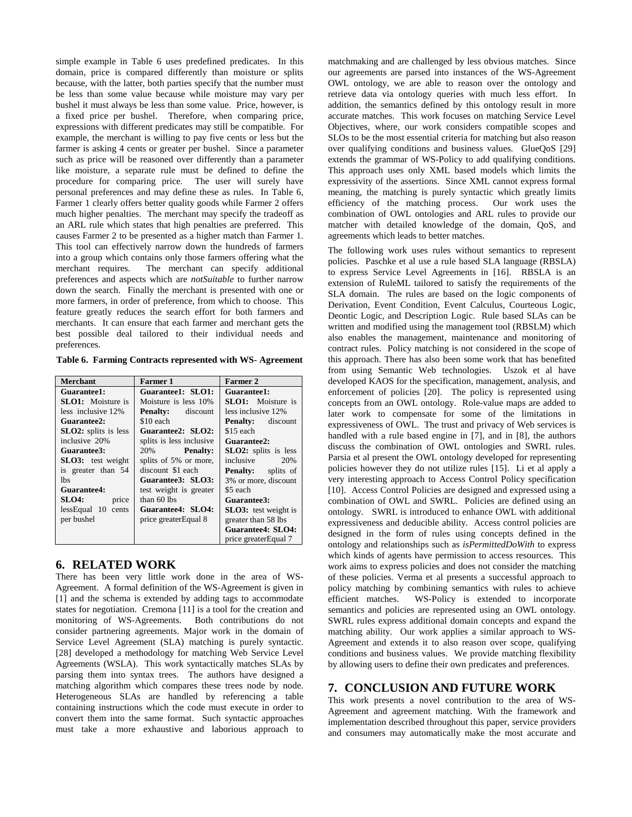simple example in Table 6 uses predefined predicates. In this domain, price is compared differently than moisture or splits because, with the latter, both parties specify that the number must be less than some value because while moisture may vary per bushel it must always be less than some value. Price, however, is a fixed price per bushel. Therefore, when comparing price, expressions with different predicates may still be compatible. For example, the merchant is willing to pay five cents or less but the farmer is asking 4 cents or greater per bushel. Since a parameter such as price will be reasoned over differently than a parameter like moisture, a separate rule must be defined to define the procedure for comparing price. The user will surely have personal preferences and may define these as rules. In Table 6, Farmer 1 clearly offers better quality goods while Farmer 2 offers much higher penalties. The merchant may specify the tradeoff as an ARL rule which states that high penalties are preferred. This causes Farmer 2 to be presented as a higher match than Farmer 1. This tool can effectively narrow down the hundreds of farmers into a group which contains only those farmers offering what the merchant requires. The merchant can specify additional preferences and aspects which are *notSuitable* to further narrow down the search. Finally the merchant is presented with one or more farmers, in order of preference, from which to choose. This feature greatly reduces the search effort for both farmers and merchants. It can ensure that each farmer and merchant gets the best possible deal tailored to their individual needs and preferences.

**Table 6. Farming Contracts represented with WS- Agreement** 

| <b>Merchant</b>              | Farmer 1                  | Farmer 2                     |
|------------------------------|---------------------------|------------------------------|
| Guarantee1:                  | Guarantee1: SLO1:         | Guarantee1:                  |
| <b>SLO1:</b> Moisture is     | Moisture is less 10%      | <b>SLO1:</b> Moisture is     |
| less inclusive 12%           | <b>Penalty:</b> discount  | less inclusive 12%           |
| Guarantee2:                  | $$10$ each                | <b>Penalty:</b> discount     |
| <b>SLO2</b> : splits is less | Guarantee2: SLO2:         | $$15$ each                   |
| inclusive 20%                | splits is less inclusive. | Guarantee2:                  |
| Guarantee3:                  | 20%<br><b>Penalty:</b>    | <b>SLO2</b> : splits is less |
| <b>SLO3</b> : test weight    | splits of 5% or more,     | inclusive<br>20%             |
| is greater than 54           | discount \$1 each         | <b>Penalty:</b> splits of    |
| lbs                          | Guarantee3: SLO3:         | 3% or more, discount         |
| Guarantee4:                  | test weight is greater    | \$5 each                     |
| price<br>SLO4:               | than $60$ lbs             | Guarantee3:                  |
| lessEqual 10 cents           | Guarantee4: SLO4:         | <b>SLO3</b> : test weight is |
| per bushel                   | price greaterEqual 8      | greater than 58 lbs          |
|                              |                           | Guarantee4: SLO4:            |
|                              |                           | price greaterEqual 7         |

# **6. RELATED WORK**

There has been very little work done in the area of WS-Agreement. A formal definition of the WS-Agreement is given in [1] and the schema is extended by adding tags to accommodate states for negotiation. Cremona [11] is a tool for the creation and monitoring of WS-Agreements. Both contributions do not consider partnering agreements. Major work in the domain of Service Level Agreement (SLA) matching is purely syntactic. [28] developed a methodology for matching Web Service Level Agreements (WSLA). This work syntactically matches SLAs by parsing them into syntax trees. The authors have designed a matching algorithm which compares these trees node by node. Heterogeneous SLAs are handled by referencing a table containing instructions which the code must execute in order to convert them into the same format. Such syntactic approaches must take a more exhaustive and laborious approach to matchmaking and are challenged by less obvious matches. Since our agreements are parsed into instances of the WS-Agreement OWL ontology, we are able to reason over the ontology and retrieve data via ontology queries with much less effort. In addition, the semantics defined by this ontology result in more accurate matches. This work focuses on matching Service Level Objectives, where, our work considers compatible scopes and SLOs to be the most essential criteria for matching but also reason over qualifying conditions and business values. GlueQoS [29] extends the grammar of WS-Policy to add qualifying conditions. This approach uses only XML based models which limits the expressivity of the assertions. Since XML cannot express formal meaning, the matching is purely syntactic which greatly limits efficiency of the matching process. Our work uses the combination of OWL ontologies and ARL rules to provide our matcher with detailed knowledge of the domain, QoS, and agreements which leads to better matches.

The following work uses rules without semantics to represent policies. Paschke et al use a rule based SLA language (RBSLA) to express Service Level Agreements in [16]. RBSLA is an extension of RuleML tailored to satisfy the requirements of the SLA domain. The rules are based on the logic components of Derivation, Event Condition, Event Calculus, Courteous Logic, Deontic Logic, and Description Logic. Rule based SLAs can be written and modified using the management tool (RBSLM) which also enables the management, maintenance and monitoring of contract rules. Policy matching is not considered in the scope of this approach. There has also been some work that has benefited from using Semantic Web technologies. Uszok et al have developed KAOS for the specification, management, analysis, and enforcement of policies [20]. The policy is represented using concepts from an OWL ontology. Role-value maps are added to later work to compensate for some of the limitations in expressiveness of OWL. The trust and privacy of Web services is handled with a rule based engine in [7], and in [8], the authors discuss the combination of OWL ontologies and SWRL rules. Parsia et al present the OWL ontology developed for representing policies however they do not utilize rules [15]. Li et al apply a very interesting approach to Access Control Policy specification [10]. Access Control Policies are designed and expressed using a combination of OWL and SWRL. Policies are defined using an ontology. SWRL is introduced to enhance OWL with additional expressiveness and deducible ability. Access control policies are designed in the form of rules using concepts defined in the ontology and relationships such as *isPermittedDoWith* to express which kinds of agents have permission to access resources. This work aims to express policies and does not consider the matching of these policies. Verma et al presents a successful approach to policy matching by combining semantics with rules to achieve efficient matches. WS-Policy is extended to incorporate semantics and policies are represented using an OWL ontology. SWRL rules express additional domain concepts and expand the matching ability. Our work applies a similar approach to WS-Agreement and extends it to also reason over scope, qualifying conditions and business values. We provide matching flexibility by allowing users to define their own predicates and preferences.

# **7. CONCLUSION AND FUTURE WORK**

This work presents a novel contribution to the area of WS-Agreement and agreement matching. With the framework and implementation described throughout this paper, service providers and consumers may automatically make the most accurate and